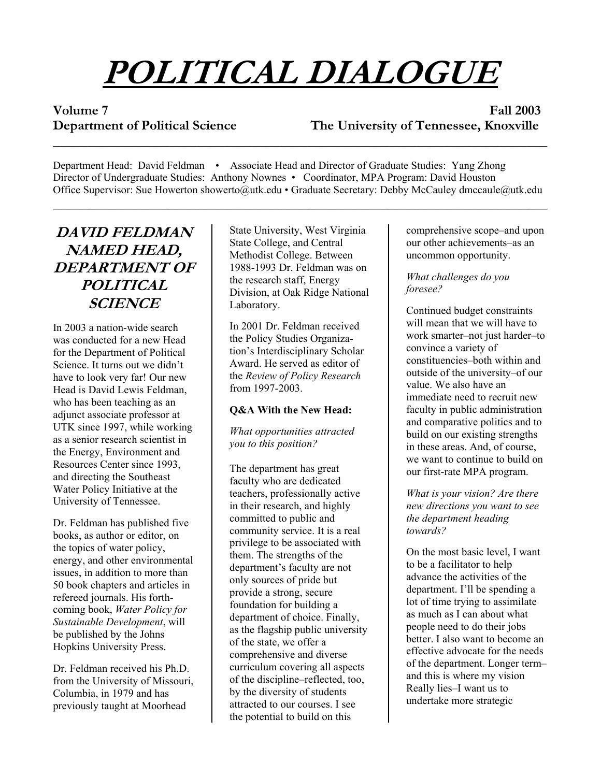# **POLITICAL DIALOGUE**

**Volume 7 Fall 2003 Department of Political Science The University of Tennessee, Knoxville**   $\overline{\phantom{a}}$  , and the contribution of the contribution of the contribution of the contribution of the contribution of the contribution of the contribution of the contribution of the contribution of the contribution of the

Department Head: David Feldman • Associate Head and Director of Graduate Studies: Yang Zhong Director of Undergraduate Studies: Anthony Nownes • Coordinator, MPA Program: David Houston Office Supervisor: Sue Howerton showerto@utk.edu • Graduate Secretary: Debby McCauley dmccaule@utk.edu \_\_\_\_\_\_\_\_\_\_\_\_\_\_\_\_\_\_\_\_\_\_\_\_\_\_\_\_\_\_\_\_\_\_\_\_\_\_\_\_\_\_\_\_\_\_\_\_\_\_\_\_\_\_\_\_\_\_\_\_\_\_\_\_\_\_\_\_\_\_\_\_

# **DAVID FELDMAN NAMED HEAD, DEPARTMENT OF POLITICAL SCIENCE**

In 2003 a nation-wide search was conducted for a new Head for the Department of Political Science. It turns out we didn't have to look very far! Our new Head is David Lewis Feldman, who has been teaching as an adjunct associate professor at UTK since 1997, while working as a senior research scientist in the Energy, Environment and Resources Center since 1993, and directing the Southeast Water Policy Initiative at the University of Tennessee.

Dr. Feldman has published five books, as author or editor, on the topics of water policy, energy, and other environmental issues, in addition to more than 50 book chapters and articles in refereed journals. His forthcoming book, *Water Policy for Sustainable Development*, will be published by the Johns Hopkins University Press.

Dr. Feldman received his Ph.D. from the University of Missouri, Columbia, in 1979 and has previously taught at Moorhead

State University, West Virginia State College, and Central Methodist College. Between 1988-1993 Dr. Feldman was on the research staff, Energy Division, at Oak Ridge National Laboratory.

In 2001 Dr. Feldman received the Policy Studies Organization's Interdisciplinary Scholar Award. He served as editor of the *Review of Policy Research* from 1997-2003.

#### **Q&A With the New Head:**

*What opportunities attracted you to this position?* 

The department has great faculty who are dedicated teachers, professionally active in their research, and highly committed to public and community service. It is a real privilege to be associated with them. The strengths of the department's faculty are not only sources of pride but provide a strong, secure foundation for building a department of choice. Finally, as the flagship public university of the state, we offer a comprehensive and diverse curriculum covering all aspects of the discipline–reflected, too, by the diversity of students attracted to our courses. I see the potential to build on this

comprehensive scope–and upon our other achievements–as an uncommon opportunity.

#### *What challenges do you foresee?*

Continued budget constraints will mean that we will have to work smarter–not just harder–to convince a variety of constituencies–both within and outside of the university–of our value. We also have an immediate need to recruit new faculty in public administration and comparative politics and to build on our existing strengths in these areas. And, of course, we want to continue to build on our first-rate MPA program.

*What is your vision? Are there new directions you want to see the department heading towards?* 

On the most basic level, I want to be a facilitator to help advance the activities of the department. I'll be spending a lot of time trying to assimilate as much as I can about what people need to do their jobs better. I also want to become an effective advocate for the needs of the department. Longer term– and this is where my vision Really lies–I want us to undertake more strategic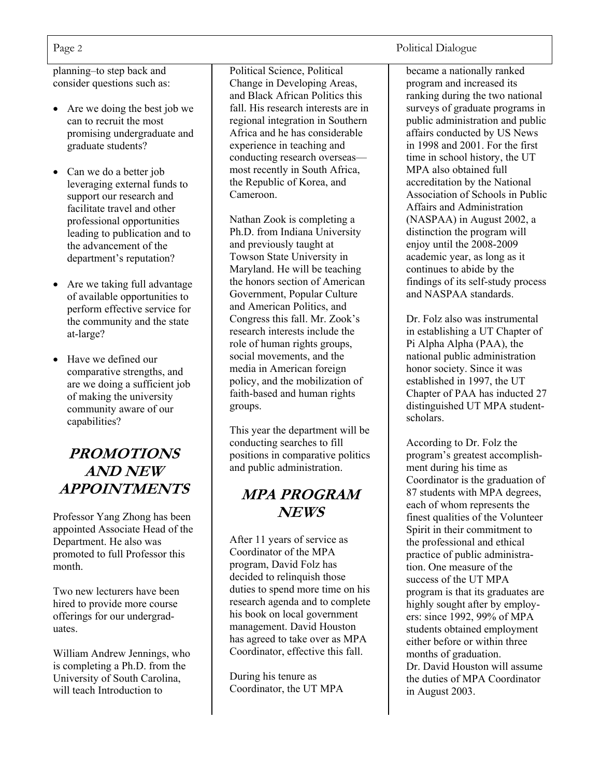planning–to step back and consider questions such as:

- Are we doing the best job we can to recruit the most promising undergraduate and graduate students?
- Can we do a better job leveraging external funds to support our research and facilitate travel and other professional opportunities leading to publication and to the advancement of the department's reputation?
- Are we taking full advantage of available opportunities to perform effective service for the community and the state at-large?
- Have we defined our comparative strengths, and are we doing a sufficient job of making the university community aware of our capabilities?

# **PROMOTIONS AND NEW APPOINTMENTS**

Professor Yang Zhong has been appointed Associate Head of the Department. He also was promoted to full Professor this month.

Two new lecturers have been hired to provide more course offerings for our undergraduates.

William Andrew Jennings, who is completing a Ph.D. from the University of South Carolina, will teach Introduction to

Political Science, Political Change in Developing Areas, and Black African Politics this fall. His research interests are in regional integration in Southern Africa and he has considerable experience in teaching and conducting research overseas most recently in South Africa, the Republic of Korea, and Cameroon.

Nathan Zook is completing a Ph.D. from Indiana University and previously taught at Towson State University in Maryland. He will be teaching the honors section of American Government, Popular Culture and American Politics, and Congress this fall. Mr. Zook's research interests include the role of human rights groups, social movements, and the media in American foreign policy, and the mobilization of faith-based and human rights groups.

This year the department will be conducting searches to fill positions in comparative politics and public administration.

### **MPA PROGRAM NEWS**

After 11 years of service as Coordinator of the MPA program, David Folz has decided to relinquish those duties to spend more time on his research agenda and to complete his book on local government management. David Houston has agreed to take over as MPA Coordinator, effective this fall.

During his tenure as Coordinator, the UT MPA

#### Page 2 Political Dialogue

became a nationally ranked program and increased its ranking during the two national surveys of graduate programs in public administration and public affairs conducted by US News in 1998 and 2001. For the first time in school history, the UT MPA also obtained full accreditation by the National Association of Schools in Public Affairs and Administration (NASPAA) in August 2002, a distinction the program will enjoy until the 2008-2009 academic year, as long as it continues to abide by the findings of its self-study process and NASPAA standards.

Dr. Folz also was instrumental in establishing a UT Chapter of Pi Alpha Alpha (PAA), the national public administration honor society. Since it was established in 1997, the UT Chapter of PAA has inducted 27 distinguished UT MPA studentscholars.

According to Dr. Folz the program's greatest accomplishment during his time as Coordinator is the graduation of 87 students with MPA degrees, each of whom represents the finest qualities of the Volunteer Spirit in their commitment to the professional and ethical practice of public administration. One measure of the success of the UT MPA program is that its graduates are highly sought after by employers: since 1992, 99% of MPA students obtained employment either before or within three months of graduation. Dr. David Houston will assume the duties of MPA Coordinator in August 2003.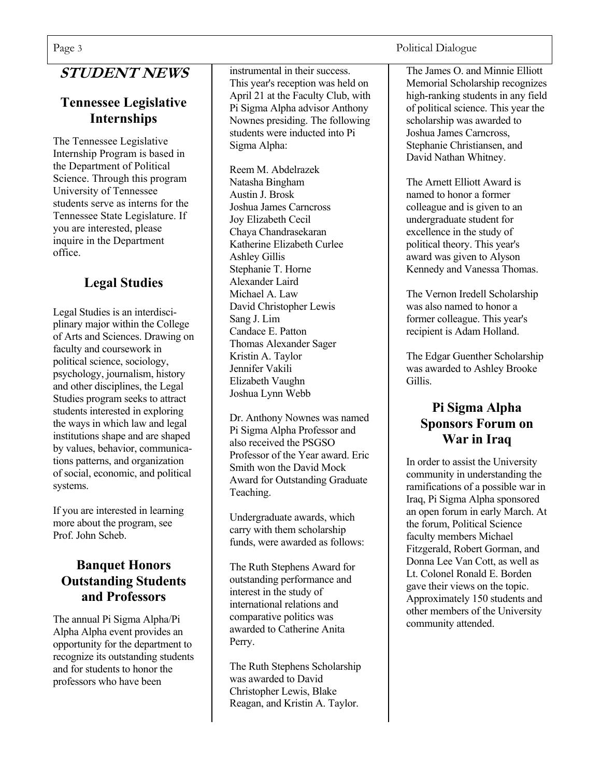# **STUDENT NEWS**

#### **Tennessee Legislative Internships**

The Tennessee Legislative Internship Program is based in the Department of Political Science. Through this program University of Tennessee students serve as interns for the Tennessee State Legislature. If you are interested, please inquire in the Department office.

### **Legal Studies**

Legal Studies is an interdisciplinary major within the College of Arts and Sciences. Drawing on faculty and coursework in political science, sociology, psychology, journalism, history and other disciplines, the Legal Studies program seeks to attract students interested in exploring the ways in which law and legal institutions shape and are shaped by values, behavior, communications patterns, and organization of social, economic, and political systems.

If you are interested in learning more about the program, see Prof. John Scheb.

#### **Banquet Honors Outstanding Students and Professors**

The annual Pi Sigma Alpha/Pi Alpha Alpha event provides an opportunity for the department to recognize its outstanding students and for students to honor the professors who have been

instrumental in their success. This year's reception was held on April 21 at the Faculty Club, with Pi Sigma Alpha advisor Anthony Nownes presiding. The following students were inducted into Pi Sigma Alpha:

Reem M. Abdelrazek Natasha Bingham Austin J. Brosk Joshua James Carncross Joy Elizabeth Cecil Chaya Chandrasekaran Katherine Elizabeth Curlee Ashley Gillis Stephanie T. Horne Alexander Laird Michael A. Law David Christopher Lewis Sang J. Lim Candace E. Patton Thomas Alexander Sager Kristin A. Taylor Jennifer Vakili Elizabeth Vaughn Joshua Lynn Webb

Dr. Anthony Nownes was named Pi Sigma Alpha Professor and also received the PSGSO Professor of the Year award. Eric Smith won the David Mock Award for Outstanding Graduate Teaching.

Undergraduate awards, which carry with them scholarship funds, were awarded as follows:

The Ruth Stephens Award for outstanding performance and interest in the study of international relations and comparative politics was awarded to Catherine Anita Perry.

The Ruth Stephens Scholarship was awarded to David Christopher Lewis, Blake Reagan, and Kristin A. Taylor.

#### Page 3 Political Dialogue

The James O. and Minnie Elliott Memorial Scholarship recognizes high-ranking students in any field of political science. This year the scholarship was awarded to Joshua James Carncross, Stephanie Christiansen, and David Nathan Whitney.

The Arnett Elliott Award is named to honor a former colleague and is given to an undergraduate student for excellence in the study of political theory. This year's award was given to Alyson Kennedy and Vanessa Thomas.

The Vernon Iredell Scholarship was also named to honor a former colleague. This year's recipient is Adam Holland.

The Edgar Guenther Scholarship was awarded to Ashley Brooke Gillis.

#### **Pi Sigma Alpha Sponsors Forum on War in Iraq**

In order to assist the University community in understanding the ramifications of a possible war in Iraq, Pi Sigma Alpha sponsored an open forum in early March. At the forum, Political Science faculty members Michael Fitzgerald, Robert Gorman, and Donna Lee Van Cott, as well as Lt. Colonel Ronald E. Borden gave their views on the topic. Approximately 150 students and other members of the University community attended.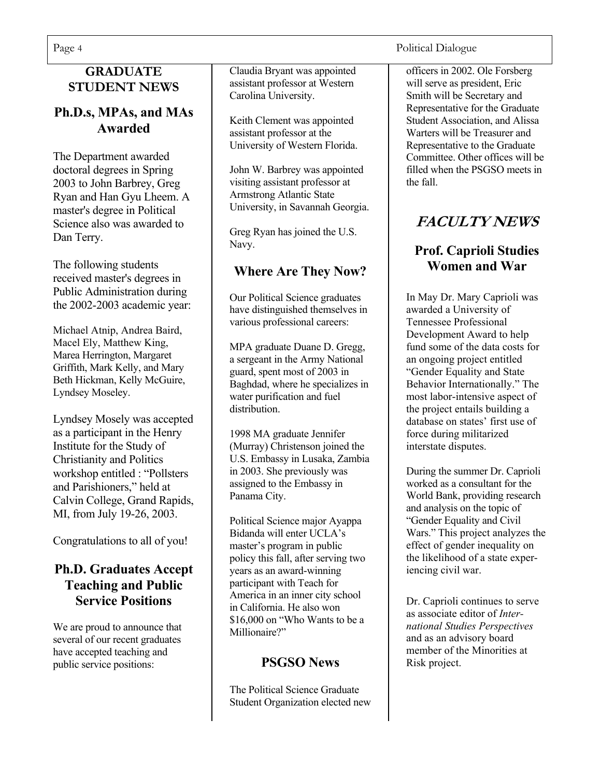#### **GRADUATE STUDENT NEWS**

#### **Ph.D.s, MPAs, and MAs Awarded**

The Department awarded doctoral degrees in Spring 2003 to John Barbrey, Greg Ryan and Han Gyu Lheem. A master's degree in Political Science also was awarded to Dan Terry.

The following students received master's degrees in Public Administration during the 2002-2003 academic year:

Michael Atnip, Andrea Baird, Macel Ely, Matthew King, Marea Herrington, Margaret Griffith, Mark Kelly, and Mary Beth Hickman, Kelly McGuire, Lyndsey Moseley.

Lyndsey Mosely was accepted as a participant in the Henry Institute for the Study of Christianity and Politics workshop entitled : "Pollsters and Parishioners," held at Calvin College, Grand Rapids, MI, from July 19-26, 2003.

Congratulations to all of you!

#### **Ph.D. Graduates Accept Teaching and Public Service Positions**

We are proud to announce that several of our recent graduates have accepted teaching and public service positions:

Claudia Bryant was appointed assistant professor at Western Carolina University.

Keith Clement was appointed assistant professor at the University of Western Florida.

John W. Barbrey was appointed visiting assistant professor at Armstrong Atlantic State University, in Savannah Georgia.

Greg Ryan has joined the U.S. Navy.

### **Where Are They Now?**

Our Political Science graduates have distinguished themselves in various professional careers:

MPA graduate Duane D. Gregg, a sergeant in the Army National guard, spent most of 2003 in Baghdad, where he specializes in water purification and fuel distribution.

1998 MA graduate Jennifer (Murray) Christenson joined the U.S. Embassy in Lusaka, Zambia in 2003. She previously was assigned to the Embassy in Panama City.

Political Science major Ayappa Bidanda will enter UCLA's master's program in public policy this fall, after serving two years as an award-winning participant with Teach for America in an inner city school in California. He also won \$16,000 on "Who Wants to be a Millionaire?"

### **PSGSO News**

The Political Science Graduate Student Organization elected new

Page 4 Political Dialogue

officers in 2002. Ole Forsberg will serve as president, Eric Smith will be Secretary and Representative for the Graduate Student Association, and Alissa Warters will be Treasurer and Representative to the Graduate Committee. Other offices will be filled when the PSGSO meets in the fall.

# **FACULTY NEWS**

# **Prof. Caprioli Studies Women and War**

In May Dr. Mary Caprioli was awarded a University of Tennessee Professional Development Award to help fund some of the data costs for an ongoing project entitled "Gender Equality and State Behavior Internationally." The most labor-intensive aspect of the project entails building a database on states' first use of force during militarized interstate disputes.

During the summer Dr. Caprioli worked as a consultant for the World Bank, providing research and analysis on the topic of "Gender Equality and Civil Wars." This project analyzes the effect of gender inequality on the likelihood of a state experiencing civil war.

Dr. Caprioli continues to serve as associate editor of *International Studies Perspectives* and as an advisory board member of the Minorities at Risk project.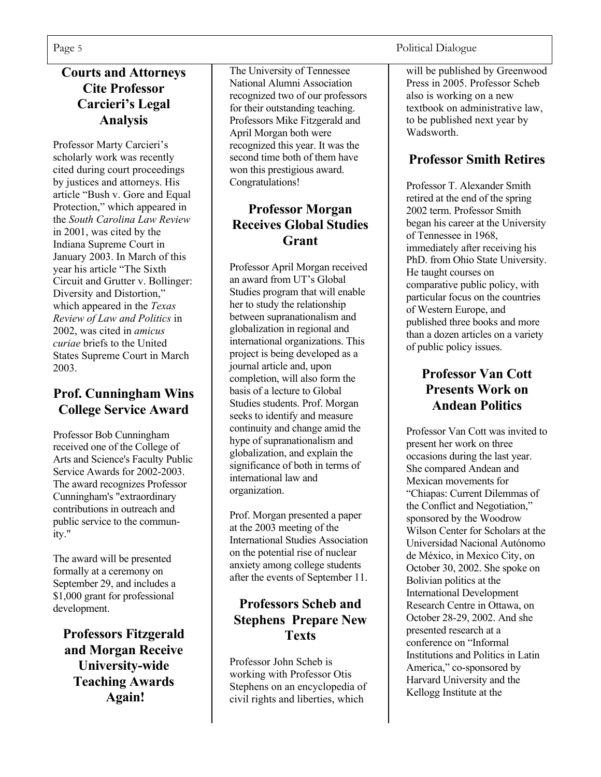#### **Courts and Attorneys Cite Professor Carcieri's Legal Analysis**

Professor Marty Carcieri's scholarly work was recently cited during court proceedings by justices and attorneys. His article "Bush v. Gore and Equal Protection," which appeared in the *South Carolina Law Review*  in 2001, was cited by the Indiana Supreme Court in January 2003. In March of this year his article "The Sixth Circuit and Grutter v. Bollinger: Diversity and Distortion," which appeared in the *Texas Review of Law and Politics* in 2002, was cited in *amicus curiae* briefs to the United States Supreme Court in March 2003.

#### **Prof. Cunningham Wins College Service Award**

Professor Bob Cunningham received one of the College of Arts and Science's Faculty Public Service Awards for 2002-2003. The award recognizes Professor Cunningham's "extraordinary contributions in outreach and public service to the community."

The award will be presented formally at a ceremony on September 29, and includes a \$1,000 grant for professional development.

**Professors Fitzgerald and Morgan Receive University-wide Teaching Awards Again!** 

The University of Tennessee National Alumni Association recognized two of our professors for their outstanding teaching. Professors Mike Fitzgerald and April Morgan both were recognized this year. It was the second time both of them have won this prestigious award. Congratulations!

#### **Professor Morgan Receives Global Studies Grant**

Professor April Morgan received an award from UT's Global Studies program that will enable her to study the relationship between supranationalism and globalization in regional and international organizations. This project is being developed as a journal article and, upon completion, will also form the basis of a lecture to Global Studies students. Prof. Morgan seeks to identify and measure continuity and change amid the hype of supranationalism and globalization, and explain the significance of both in terms of international law and organization.

Prof. Morgan presented a paper at the 2003 meeting of the International Studies Association on the potential rise of nuclear anxiety among college students after the events of September 11.

#### **Professors Scheb and Stephens Prepare New Texts**

Professor John Scheb is working with Professor Otis Stephens on an encyclopedia of civil rights and liberties, which

Page 5 Political Dialogue

will be published by Greenwood Press in 2005. Professor Scheb also is working on a new textbook on administrative law, to be published next year by **Wadsworth** 

#### **Professor Smith Retires**

Professor T. Alexander Smith retired at the end of the spring 2002 term. Professor Smith began his career at the University of Tennessee in 1968, immediately after receiving his PhD. from Ohio State University. He taught courses on comparative public policy, with particular focus on the countries of Western Europe, and published three books and more than a dozen articles on a variety of public policy issues.

#### **Professor Van Cott Presents Work on Andean Politics**

Professor Van Cott was invited to present her work on three occasions during the last year. She compared Andean and Mexican movements for "Chiapas: Current Dilemmas of the Conflict and Negotiation," sponsored by the Woodrow Wilson Center for Scholars at the Universidad Nacional Autónomo de México, in Mexico City, on October 30, 2002. She spoke on Bolivian politics at the International Development Research Centre in Ottawa, on October 28-29, 2002. And she presented research at a conference on "Informal Institutions and Politics in Latin America," co-sponsored by Harvard University and the Kellogg Institute at the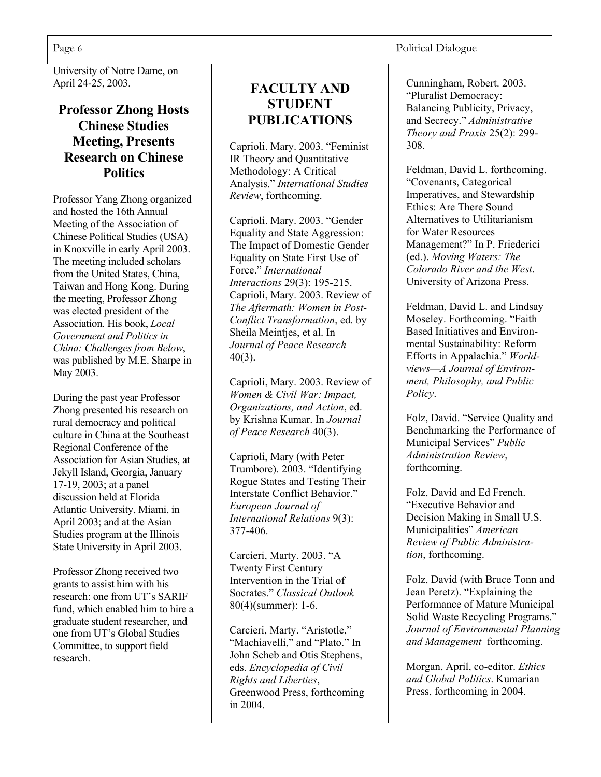University of Notre Dame, on April 24-25, 2003.

#### **Professor Zhong Hosts Chinese Studies Meeting, Presents Research on Chinese Politics**

Professor Yang Zhong organized and hosted the 16th Annual Meeting of the Association of Chinese Political Studies (USA) in Knoxville in early April 2003. The meeting included scholars from the United States, China, Taiwan and Hong Kong. During the meeting, Professor Zhong was elected president of the Association. His book, *Local Government and Politics in China: Challenges from Below*, was published by M.E. Sharpe in May 2003.

During the past year Professor Zhong presented his research on rural democracy and political culture in China at the Southeast Regional Conference of the Association for Asian Studies, at Jekyll Island, Georgia, January 17-19, 2003; at a panel discussion held at Florida Atlantic University, Miami, in April 2003; and at the Asian Studies program at the Illinois State University in April 2003.

Professor Zhong received two grants to assist him with his research: one from UT's SARIF fund, which enabled him to hire a graduate student researcher, and one from UT's Global Studies Committee, to support field research.

#### **FACULTY AND STUDENT PUBLICATIONS**

Caprioli. Mary. 2003. "Feminist IR Theory and Quantitative Methodology: A Critical Analysis." *International Studies Review*, forthcoming.

Caprioli. Mary. 2003. "Gender Equality and State Aggression: The Impact of Domestic Gender Equality on State First Use of Force." *International Interactions* 29(3): 195-215. Caprioli, Mary. 2003. Review of *The Aftermath: Women in Post-Conflict Transformation*, ed. by Sheila Meintjes, et al. In *Journal of Peace Research* 40(3).

Caprioli, Mary. 2003. Review of *Women & Civil War: Impact, Organizations, and Action*, ed. by Krishna Kumar. In *Journal of Peace Research* 40(3).

Caprioli, Mary (with Peter Trumbore). 2003. "Identifying Rogue States and Testing Their Interstate Conflict Behavior." *European Journal of International Relations* 9(3): 377-406.

Carcieri, Marty. 2003. "A Twenty First Century Intervention in the Trial of Socrates." *Classical Outlook* 80(4)(summer): 1-6.

Carcieri, Marty. "Aristotle," "Machiavelli," and "Plato." In John Scheb and Otis Stephens, eds. *Encyclopedia of Civil Rights and Liberties*, Greenwood Press, forthcoming in 2004.

Cunningham, Robert. 2003. "Pluralist Democracy: Balancing Publicity, Privacy, and Secrecy." *Administrative Theory and Praxis* 25(2): 299- 308.

Feldman, David L. forthcoming. "Covenants, Categorical Imperatives, and Stewardship Ethics: Are There Sound Alternatives to Utilitarianism for Water Resources Management?" In P. Friederici (ed.). *Moving Waters: The Colorado River and the West*. University of Arizona Press.

Feldman, David L. and Lindsay Moseley. Forthcoming. "Faith Based Initiatives and Environmental Sustainability: Reform Efforts in Appalachia." *Worldviews—A Journal of Environment, Philosophy, and Public Policy*.

Folz, David. "Service Quality and Benchmarking the Performance of Municipal Services" *Public Administration Review*, forthcoming.

Folz, David and Ed French. "Executive Behavior and Decision Making in Small U.S. Municipalities" *American Review of Public Administration*, forthcoming.

Folz, David (with Bruce Tonn and Jean Peretz). "Explaining the Performance of Mature Municipal Solid Waste Recycling Programs." *Journal of Environmental Planning and Management* forthcoming.

Morgan, April, co-editor. *Ethics and Global Politics*. Kumarian Press, forthcoming in 2004.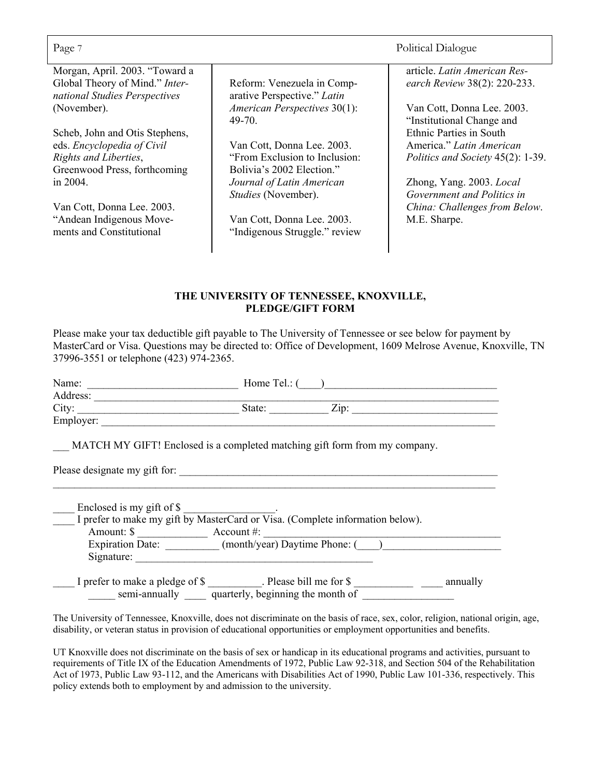| Page 7                                                                                                                |                                                                                          | Political Dialogue                                                                              |
|-----------------------------------------------------------------------------------------------------------------------|------------------------------------------------------------------------------------------|-------------------------------------------------------------------------------------------------|
| Morgan, April. 2003. "Toward a<br>Global Theory of Mind." Inter-<br>national Studies Perspectives                     | Reform: Venezuela in Comp-<br>arative Perspective." Latin                                | article. Latin American Res-<br>earch Review 38(2): 220-233.                                    |
| (November).                                                                                                           | American Perspectives 30(1):<br>49-70                                                    | Van Cott, Donna Lee. 2003.<br>"Institutional Change and                                         |
| Scheb, John and Otis Stephens,<br>eds. Encyclopedia of Civil<br>Rights and Liberties,<br>Greenwood Press, forthcoming | Van Cott, Donna Lee. 2003.<br>"From Exclusion to Inclusion:<br>Bolivia's 2002 Election." | <b>Ethnic Parties in South</b><br>America." Latin American<br>Politics and Society 45(2): 1-39. |
| in $2004$ .<br>Van Cott, Donna Lee. 2003.                                                                             | Journal of Latin American<br>Studies (November).                                         | Zhong, Yang. 2003. Local<br>Government and Politics in<br>China: Challenges from Below.         |
| "Andean Indigenous Move-<br>ments and Constitutional                                                                  | Van Cott, Donna Lee. 2003.<br>"Indigenous Struggle." review                              | M.E. Sharpe.                                                                                    |

#### **THE UNIVERSITY OF TENNESSEE, KNOXVILLE, PLEDGE/GIFT FORM**

Please make your tax deductible gift payable to The University of Tennessee or see below for payment by MasterCard or Visa. Questions may be directed to: Office of Development, 1609 Melrose Avenue, Knoxville, TN 37996-3551 or telephone (423) 974-2365.

| Name: $\qquad \qquad$                           | Home Tel.: $($                                                                |  |
|-------------------------------------------------|-------------------------------------------------------------------------------|--|
| Address:                                        |                                                                               |  |
| City:                                           | State:<br>Zip:                                                                |  |
| Employer:                                       |                                                                               |  |
|                                                 | MATCH MY GIFT! Enclosed is a completed matching gift form from my company.    |  |
| Please designate my gift for:                   |                                                                               |  |
|                                                 |                                                                               |  |
| Enclosed is my gift of \$                       |                                                                               |  |
|                                                 | I prefer to make my gift by MasterCard or Visa. (Complete information below). |  |
| Amount: $\frac{1}{2}$ Account #:                |                                                                               |  |
|                                                 | Expiration Date: (month/year) Daytime Phone: ()                               |  |
| Signature:                                      |                                                                               |  |
|                                                 |                                                                               |  |
|                                                 | I prefer to make a pledge of \$ Please bill me for \$ annually                |  |
| semi-annually quarterly, beginning the month of |                                                                               |  |
|                                                 |                                                                               |  |

The University of Tennessee, Knoxville, does not discriminate on the basis of race, sex, color, religion, national origin, age, disability, or veteran status in provision of educational opportunities or employment opportunities and benefits.

UT Knoxville does not discriminate on the basis of sex or handicap in its educational programs and activities, pursuant to requirements of Title IX of the Education Amendments of 1972, Public Law 92-318, and Section 504 of the Rehabilitation Act of 1973, Public Law 93-112, and the Americans with Disabilities Act of 1990, Public Law 101-336, respectively. This policy extends both to employment by and admission to the university.